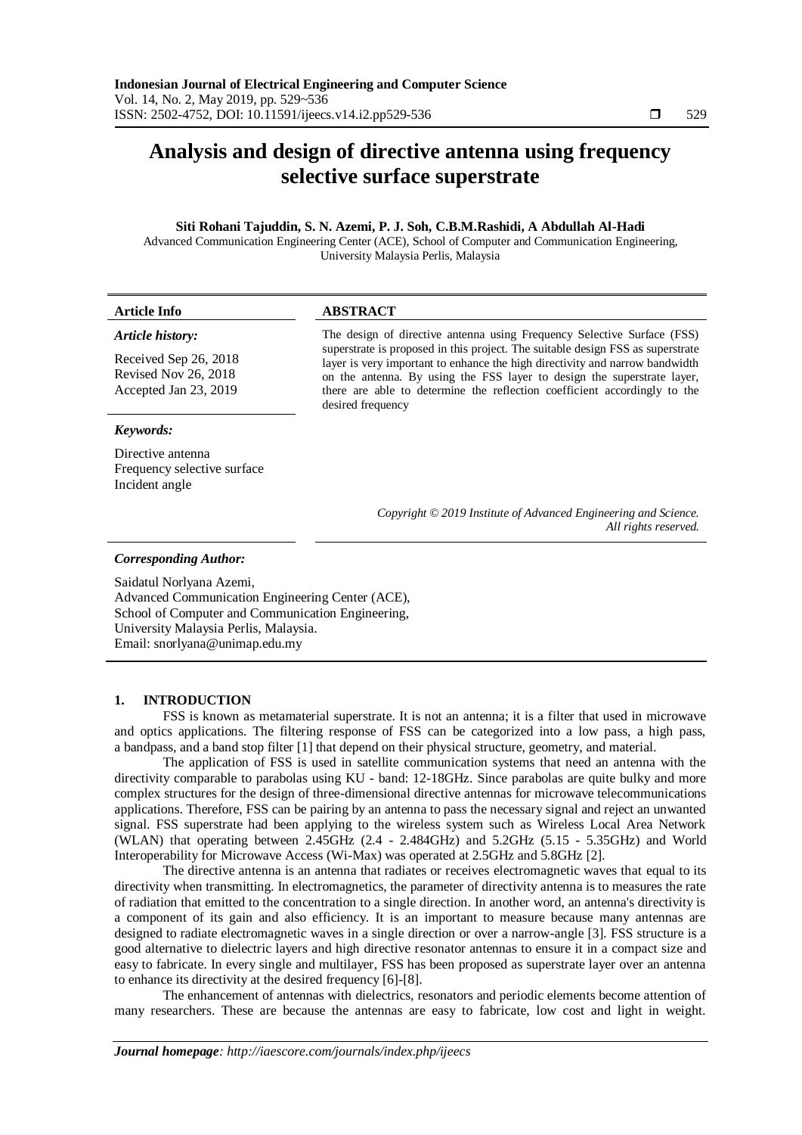# **Analysis and design of directive antenna using frequency selective surface superstrate**

## **Siti Rohani Tajuddin, S. N. Azemi, P. J. Soh, C.B.M.Rashidi, A Abdullah Al-Hadi**

Advanced Communication Engineering Center (ACE), School of Computer and Communication Engineering, University Malaysia Perlis, Malaysia

| <b>Article Info</b>                                                                        | <b>ABSTRACT</b>                                                                                                                                                                                                                                                                                                                                                                                    |  |  |  |
|--------------------------------------------------------------------------------------------|----------------------------------------------------------------------------------------------------------------------------------------------------------------------------------------------------------------------------------------------------------------------------------------------------------------------------------------------------------------------------------------------------|--|--|--|
| Article history:<br>Received Sep 26, 2018<br>Revised Nov 26, 2018<br>Accepted Jan 23, 2019 | The design of directive antenna using Frequency Selective Surface (FSS)<br>superstrate is proposed in this project. The suitable design FSS as superstrate<br>layer is very important to enhance the high directivity and narrow bandwidth<br>on the antenna. By using the FSS layer to design the superstrate layer,<br>there are able to determine the reflection coefficient accordingly to the |  |  |  |
| Keywords:                                                                                  | desired frequency                                                                                                                                                                                                                                                                                                                                                                                  |  |  |  |
| Directive antenna<br>Frequency selective surface<br>Incident angle                         |                                                                                                                                                                                                                                                                                                                                                                                                    |  |  |  |
|                                                                                            | Copyright © 2019 Institute of Advanced Engineering and Science.<br>All rights reserved.                                                                                                                                                                                                                                                                                                            |  |  |  |
|                                                                                            |                                                                                                                                                                                                                                                                                                                                                                                                    |  |  |  |

### *Corresponding Author:*

Saidatul Norlyana Azemi, Advanced Communication Engineering Center (ACE), School of Computer and Communication Engineering, University Malaysia Perlis, Malaysia. Email: snorlyana@unimap.edu.my

## **1. INTRODUCTION**

FSS is known as metamaterial superstrate. It is not an antenna; it is a filter that used in microwave and optics applications. The filtering response of FSS can be categorized into a low pass, a high pass, a bandpass, and a band stop filter [1] that depend on their physical structure, geometry, and material.

The application of FSS is used in satellite communication systems that need an antenna with the directivity comparable to parabolas using KU - band: 12-18GHz. Since parabolas are quite bulky and more complex structures for the design of three-dimensional directive antennas for microwave telecommunications applications. Therefore, FSS can be pairing by an antenna to pass the necessary signal and reject an unwanted signal. FSS superstrate had been applying to the wireless system such as Wireless Local Area Network (WLAN) that operating between 2.45GHz (2.4 - 2.484GHz) and 5.2GHz (5.15 - 5.35GHz) and World Interoperability for Microwave Access (Wi-Max) was operated at 2.5GHz and 5.8GHz [2].

The directive antenna is an antenna that radiates or receives electromagnetic waves that equal to its directivity when transmitting. In electromagnetics, the parameter of directivity antenna is to measures the rate of radiation that emitted to the concentration to a single direction. In another word, an antenna's directivity is a component of its gain and also efficiency. It is an important to measure because many antennas are designed to radiate electromagnetic waves in a single direction or over a narrow-angle [3]. FSS structure is a good alternative to dielectric layers and high directive resonator antennas to ensure it in a compact size and easy to fabricate. In every single and multilayer, FSS has been proposed as superstrate layer over an antenna to enhance its directivity at the desired frequency [6]-[8].

The enhancement of antennas with dielectrics, resonators and periodic elements become attention of many researchers. These are because the antennas are easy to fabricate, low cost and light in weight.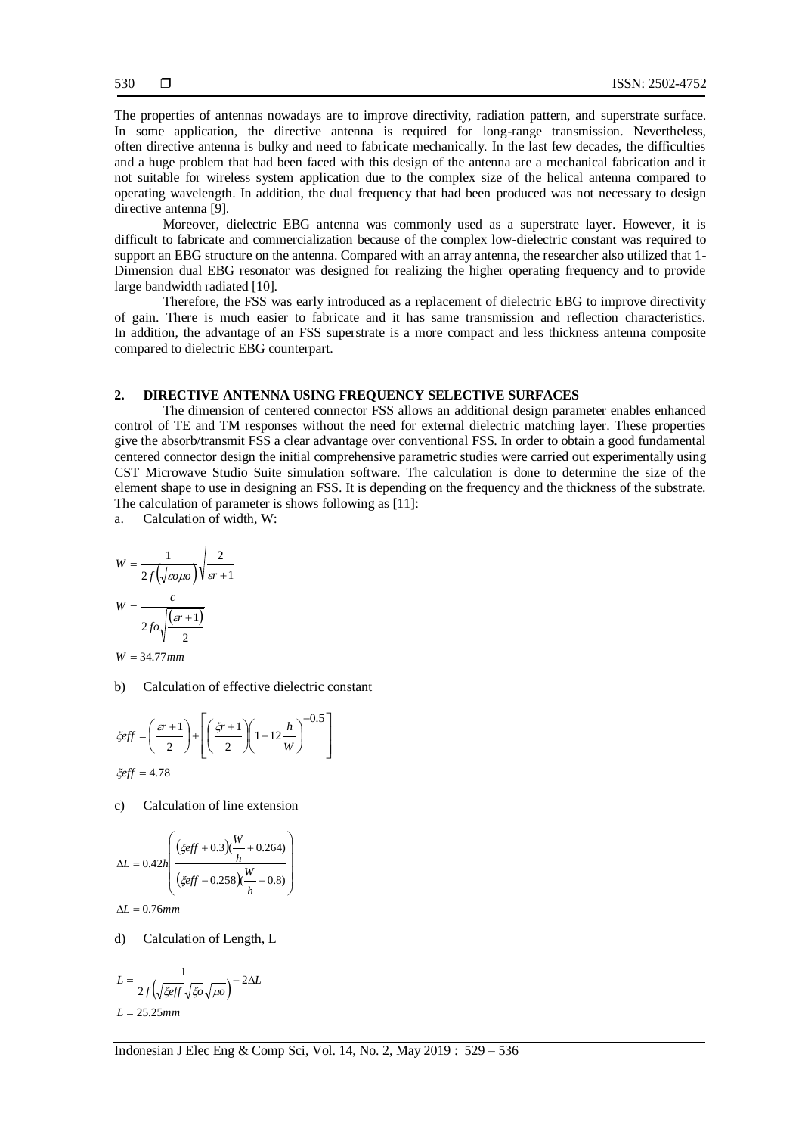The properties of antennas nowadays are to improve directivity, radiation pattern, and superstrate surface. In some application, the directive antenna is required for long-range transmission. Nevertheless, often directive antenna is bulky and need to fabricate mechanically. In the last few decades, the difficulties and a huge problem that had been faced with this design of the antenna are a mechanical fabrication and it not suitable for wireless system application due to the complex size of the helical antenna compared to operating wavelength. In addition, the dual frequency that had been produced was not necessary to design directive antenna [9].

Moreover, dielectric EBG antenna was commonly used as a superstrate layer. However, it is difficult to fabricate and commercialization because of the complex low-dielectric constant was required to support an EBG structure on the antenna. Compared with an array antenna, the researcher also utilized that 1-Dimension dual EBG resonator was designed for realizing the higher operating frequency and to provide large bandwidth radiated [10].

Therefore, the FSS was early introduced as a replacement of dielectric EBG to improve directivity of gain. There is much easier to fabricate and it has same transmission and reflection characteristics. In addition, the advantage of an FSS superstrate is a more compact and less thickness antenna composite compared to dielectric EBG counterpart.

## **2. DIRECTIVE ANTENNA USING FREQUENCY SELECTIVE SURFACES**

The dimension of centered connector FSS allows an additional design parameter enables enhanced control of TE and TM responses without the need for external dielectric matching layer. These properties give the absorb/transmit FSS a clear advantage over conventional FSS. In order to obtain a good fundamental centered connector design the initial comprehensive parametric studies were carried out experimentally using CST Microwave Studio Suite simulation software. The calculation is done to determine the size of the element shape to use in designing an FSS. It is depending on the frequency and the thickness of the substrate. The calculation of parameter is shows following as [11]:

a. Calculation of width, W:

$$
W = \frac{1}{2f(\sqrt{\varepsilon \rho \mu \rho})} \sqrt{\frac{2}{\varepsilon r + 1}}
$$

$$
W = \frac{c}{2f\rho \sqrt{\frac{(\varepsilon r + 1)}{2}}}
$$

 $W = 34.77$ mm

b) Calculation of effective dielectric constant

$$
\xi eff = \left(\frac{sr+1}{2}\right) + \left[\left(\frac{\xi r+1}{2}\right)\left(1+12\frac{h}{W}\right)\right]^{-0.5}
$$
  

$$
\xi eff = 4.78
$$

c) Calculation of line extension

$$
\Delta L = 0.42 h \left( \frac{(\xi eff + 0.3) \frac{W}{h} + 0.264)}{(\xi eff - 0.258) \frac{W}{h} + 0.8)} \right)
$$

 $\Delta L = 0.76$ mm

d) Calculation of Length, L

$$
L = \frac{1}{2f(\sqrt{\xi eff} \sqrt{\xi o} \sqrt{\mu o}}) - 2\Delta L
$$
  

$$
L = 25.25 \text{mm}
$$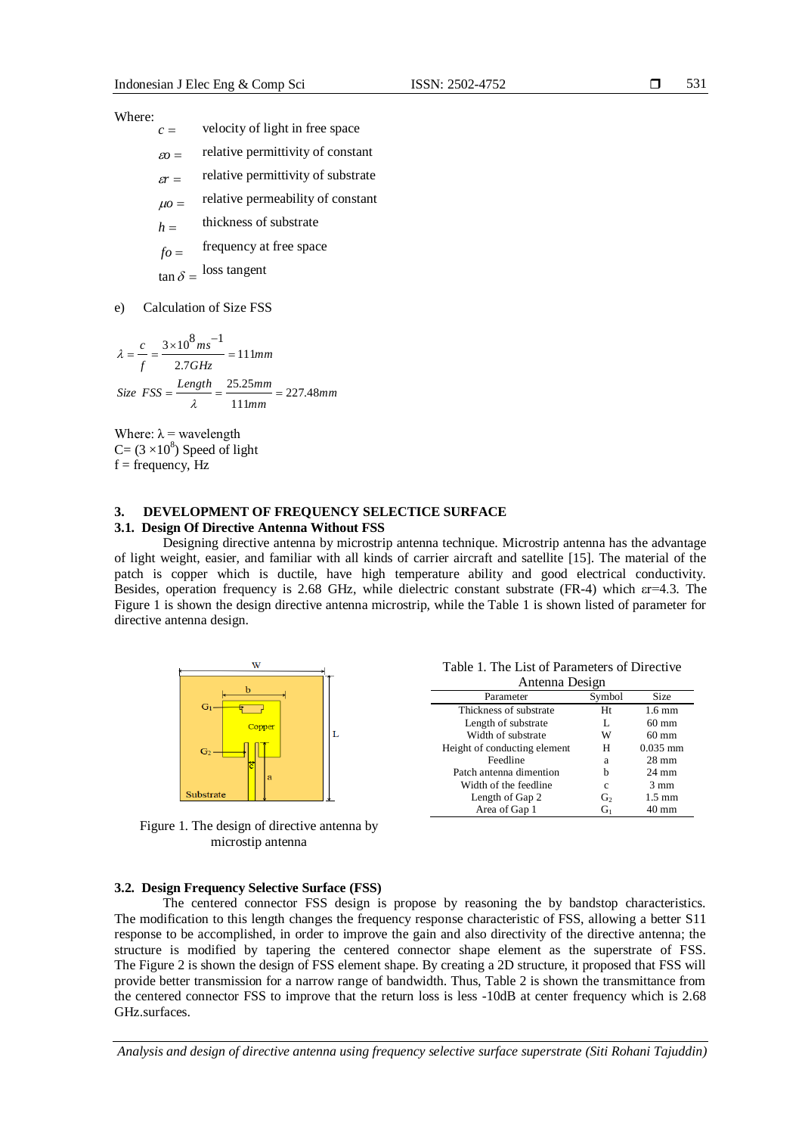#### Where:

- *c* velocity of light in free space
- $\epsilon$ <sup>*o*</sup> = relative permittivity of constant
- $\epsilon r =$ relative permittivity of substrate
- $\mu$ o = relative permeability of constant
- *h* thickness of substrate
- *fo* frequency at free space

 $\tan \delta =$ loss tangent

e) Calculation of Size FSS

*mm mm*  $Size \, FSS = \frac{Length}{25.25mm} = 227.48$ *mm GHz ms f*  $\frac{c}{m} = \frac{3 \times 10^8 \text{ m s}^{-1}}{2 \times 10^8 \text{ m s}^{-1}} = 111 \text{ m}$ 111  $=\frac{Length}{\lambda}=\frac{25.25mm}{111mm}=$ 2.7  $\frac{3 \times 10^8 \text{ m s}^{-1}}{2}$  =  $\lambda = \frac{c}{\lambda} = \frac{3 \times 10^8 m s^2}{\lambda}$ 

Where:  $\lambda$  = wavelength  $C = (3 \times 10^8)$  Speed of light  $f = frequency, Hz$ 

## **3. DEVELOPMENT OF FREQUENCY SELECTICE SURFACE**

## **3.1. Design Of Directive Antenna Without FSS**

Designing directive antenna by microstrip antenna technique. Microstrip antenna has the advantage of light weight, easier, and familiar with all kinds of carrier aircraft and satellite [15]. The material of the patch is copper which is ductile, have high temperature ability and good electrical conductivity. Besides, operation frequency is 2.68 GHz, while dielectric constant substrate (FR-4) which εr=4.3. The Figure 1 is shown the design directive antenna microstrip, while the Table 1 is shown listed of parameter for directive antenna design.



Figure 1. The design of directive antenna by microstip antenna

**3.2. Design Frequency Selective Surface (FSS)**

Table 1. The List of Parameters of Directive Antenna Design

| Aliteniia Desigii |                  |  |  |  |  |
|-------------------|------------------|--|--|--|--|
| Symbol            | Size             |  |  |  |  |
| Ht                | $1.6 \text{ mm}$ |  |  |  |  |
| L                 | $60 \text{ mm}$  |  |  |  |  |
| W                 | $60 \text{ mm}$  |  |  |  |  |
| Н                 | $0.035$ mm       |  |  |  |  |
| a                 | $28 \text{ mm}$  |  |  |  |  |
| b                 | $24 \text{ mm}$  |  |  |  |  |
| c                 | $3 \text{ mm}$   |  |  |  |  |
| G <sub>2</sub>    | $1.5 \text{ mm}$ |  |  |  |  |
| $G_1$             | 40 mm            |  |  |  |  |
|                   |                  |  |  |  |  |

The centered connector FSS design is propose by reasoning the by bandstop characteristics.

The modification to this length changes the frequency response characteristic of FSS, allowing a better S11 response to be accomplished, in order to improve the gain and also directivity of the directive antenna; the structure is modified by tapering the centered connector shape element as the superstrate of FSS. The Figure 2 is shown the design of FSS element shape. By creating a 2D structure, it proposed that FSS will provide better transmission for a narrow range of bandwidth. Thus, Table 2 is shown the transmittance from the centered connector FSS to improve that the return loss is less -10dB at center frequency which is 2.68 GHz.surfaces.

*Analysis and design of directive antenna using frequency selective surface superstrate (Siti Rohani Tajuddin)*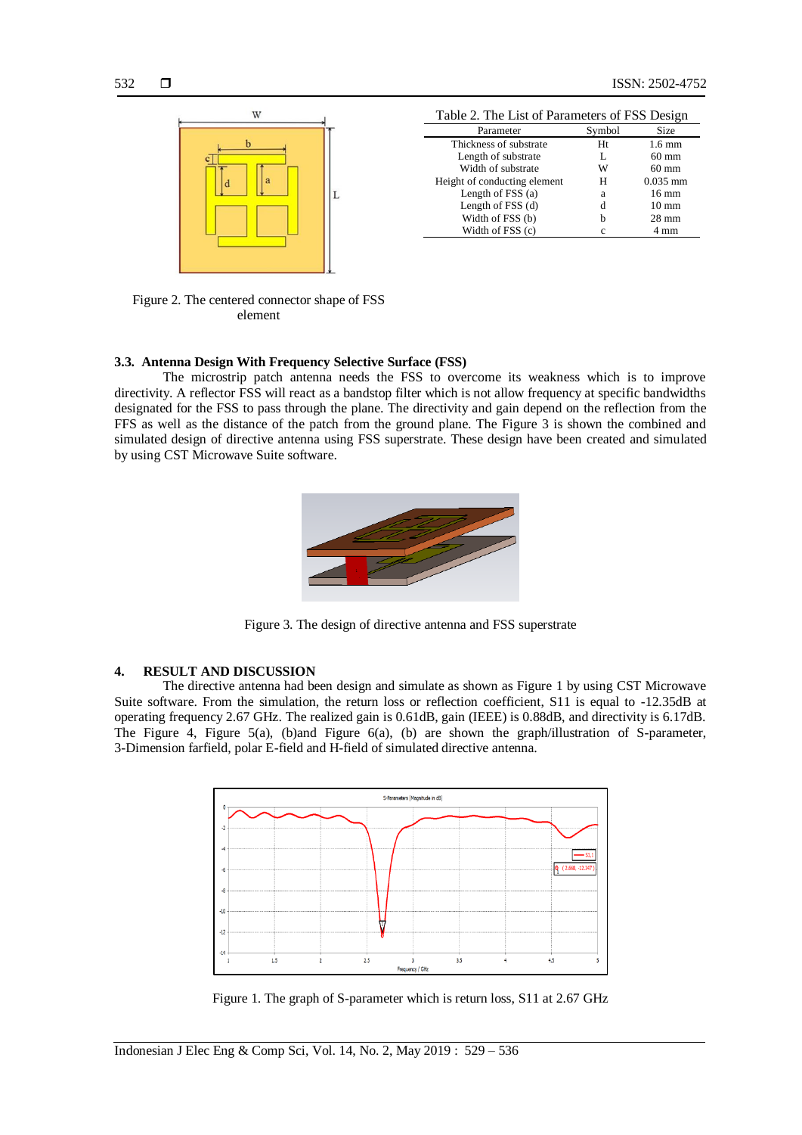

| Parameter                    | Symbol | Size             |
|------------------------------|--------|------------------|
| Thickness of substrate       | Ht     | $1.6 \text{ mm}$ |
| Length of substrate          | L      | $60 \text{ mm}$  |
| Width of substrate           | W      | $60 \text{ mm}$  |
| Height of conducting element | Н      | $0.035$ mm       |
| Length of $FSS(a)$           | a      | $16 \text{ mm}$  |
| Length of FSS (d)            | d      | $10 \text{ mm}$  |
| Width of FSS (b)             | h      | $28 \text{ mm}$  |
| Width of FSS (c)             | с      | 4 mm             |

Figure 2. The centered connector shape of FSS element

## **3.3. Antenna Design With Frequency Selective Surface (FSS)**

The microstrip patch antenna needs the FSS to overcome its weakness which is to improve directivity. A reflector FSS will react as a bandstop filter which is not allow frequency at specific bandwidths designated for the FSS to pass through the plane. The directivity and gain depend on the reflection from the FFS as well as the distance of the patch from the ground plane. The Figure 3 is shown the combined and simulated design of directive antenna using FSS superstrate. These design have been created and simulated by using CST Microwave Suite software.



Figure 3. The design of directive antenna and FSS superstrate

## **4. RESULT AND DISCUSSION**

The directive antenna had been design and simulate as shown as Figure 1 by using CST Microwave Suite software. From the simulation, the return loss or reflection coefficient, S11 is equal to -12.35dB at operating frequency 2.67 GHz. The realized gain is 0.61dB, gain (IEEE) is 0.88dB, and directivity is 6.17dB. The Figure 4, Figure 5(a), (b)and Figure 6(a), (b) are shown the graph/illustration of S-parameter, 3-Dimension farfield, polar E-field and H-field of simulated directive antenna.



Figure 1. The graph of S-parameter which is return loss, S11 at 2.67 GHz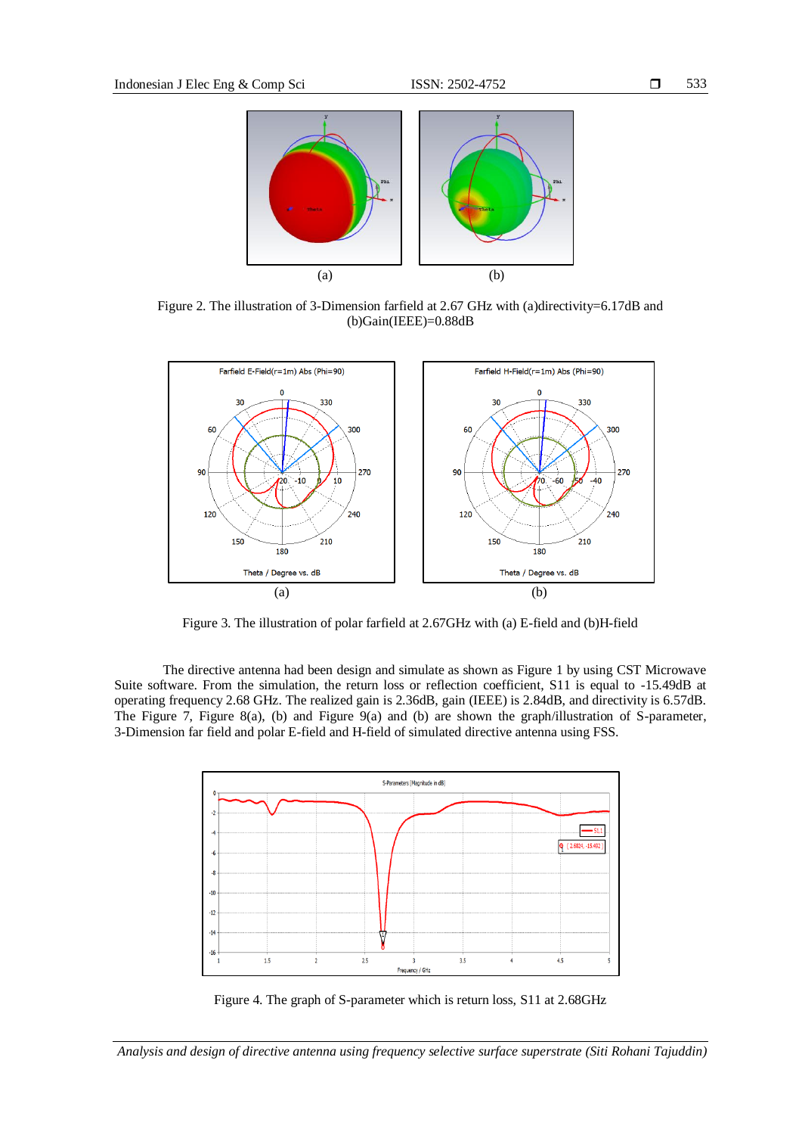

Figure 2. The illustration of 3-Dimension farfield at 2.67 GHz with (a)directivity=6.17dB and (b)Gain(IEEE)=0.88dB



Figure 3. The illustration of polar farfield at 2.67GHz with (a) E-field and (b)H-field

The directive antenna had been design and simulate as shown as Figure 1 by using CST Microwave Suite software. From the simulation, the return loss or reflection coefficient, S11 is equal to -15.49dB at operating frequency 2.68 GHz. The realized gain is 2.36dB, gain (IEEE) is 2.84dB, and directivity is 6.57dB. The Figure 7, Figure 8(a), (b) and Figure 9(a) and (b) are shown the graph/illustration of S-parameter, 3-Dimension far field and polar E-field and H-field of simulated directive antenna using FSS.



Figure 4. The graph of S-parameter which is return loss, S11 at 2.68GHz

*Analysis and design of directive antenna using frequency selective surface superstrate (Siti Rohani Tajuddin)*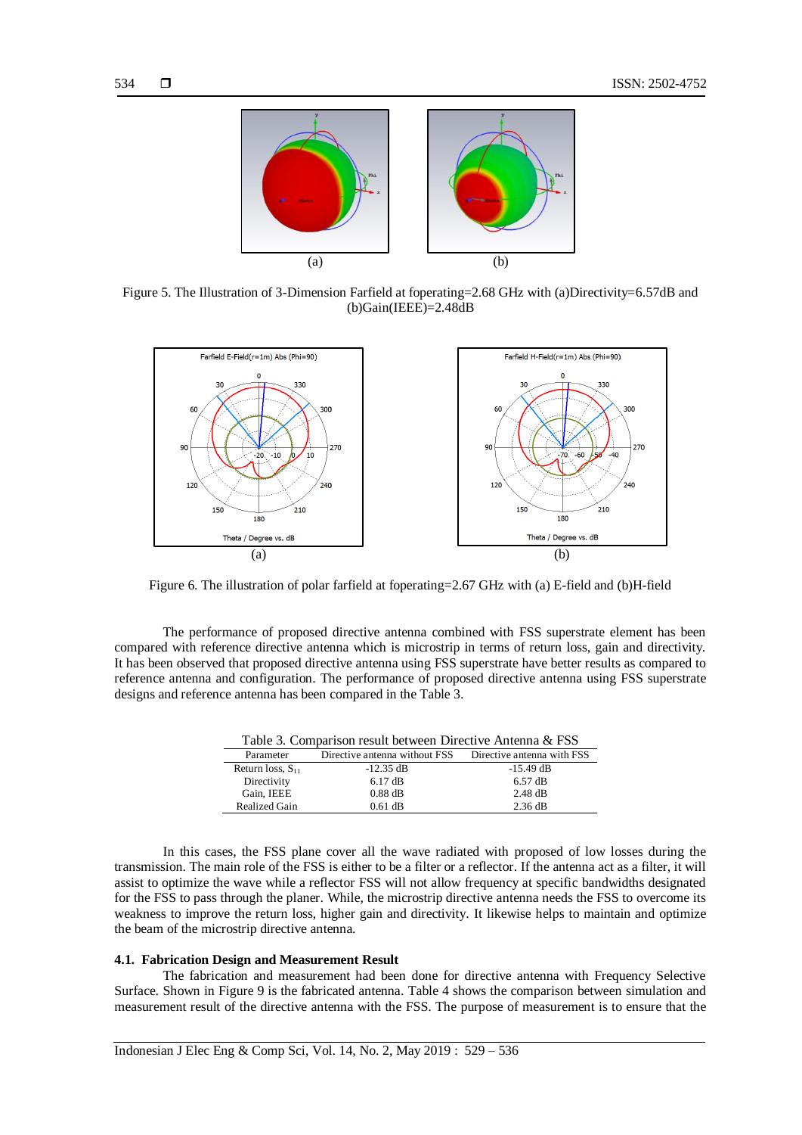

Figure 5. The Illustration of 3-Dimension Farfield at foperating=2.68 GHz with (a)Directivity=6.57dB and  $(b)$ Gain(IEEE)=2.48dB



Figure 6. The illustration of polar farfield at foperating=2.67 GHz with (a) E-field and (b)H-field

The performance of proposed directive antenna combined with FSS superstrate element has been compared with reference directive antenna which is microstrip in terms of return loss, gain and directivity. It has been observed that proposed directive antenna using FSS superstrate have better results as compared to reference antenna and configuration. The performance of proposed directive antenna using FSS superstrate designs and reference antenna has been compared in the Table 3.

| Table 3. Comparison result between Directive Antenna & FSS |                               |                            |  |  |  |
|------------------------------------------------------------|-------------------------------|----------------------------|--|--|--|
| Parameter                                                  | Directive antenna without FSS | Directive antenna with FSS |  |  |  |
| Return loss, $S_{11}$                                      | $-12.35$ dB                   | $-15.49$ dB                |  |  |  |
| Directivity                                                | $6.17 \text{ dB}$             | $6.57 \text{ dB}$          |  |  |  |
| Gain, IEEE                                                 | $0.88$ dB                     | $2.48$ dB                  |  |  |  |
| <b>Realized Gain</b>                                       | $0.61$ dB                     | $2.36 \text{ dB}$          |  |  |  |

In this cases, the FSS plane cover all the wave radiated with proposed of low losses during the transmission. The main role of the FSS is either to be a filter or a reflector. If the antenna act as a filter, it will assist to optimize the wave while a reflector FSS will not allow frequency at specific bandwidths designated for the FSS to pass through the planer. While, the microstrip directive antenna needs the FSS to overcome its weakness to improve the return loss, higher gain and directivity. It likewise helps to maintain and optimize the beam of the microstrip directive antenna.

#### **4.1. Fabrication Design and Measurement Result**

The fabrication and measurement had been done for directive antenna with Frequency Selective Surface. Shown in Figure 9 is the fabricated antenna. Table 4 shows the comparison between simulation and measurement result of the directive antenna with the FSS. The purpose of measurement is to ensure that the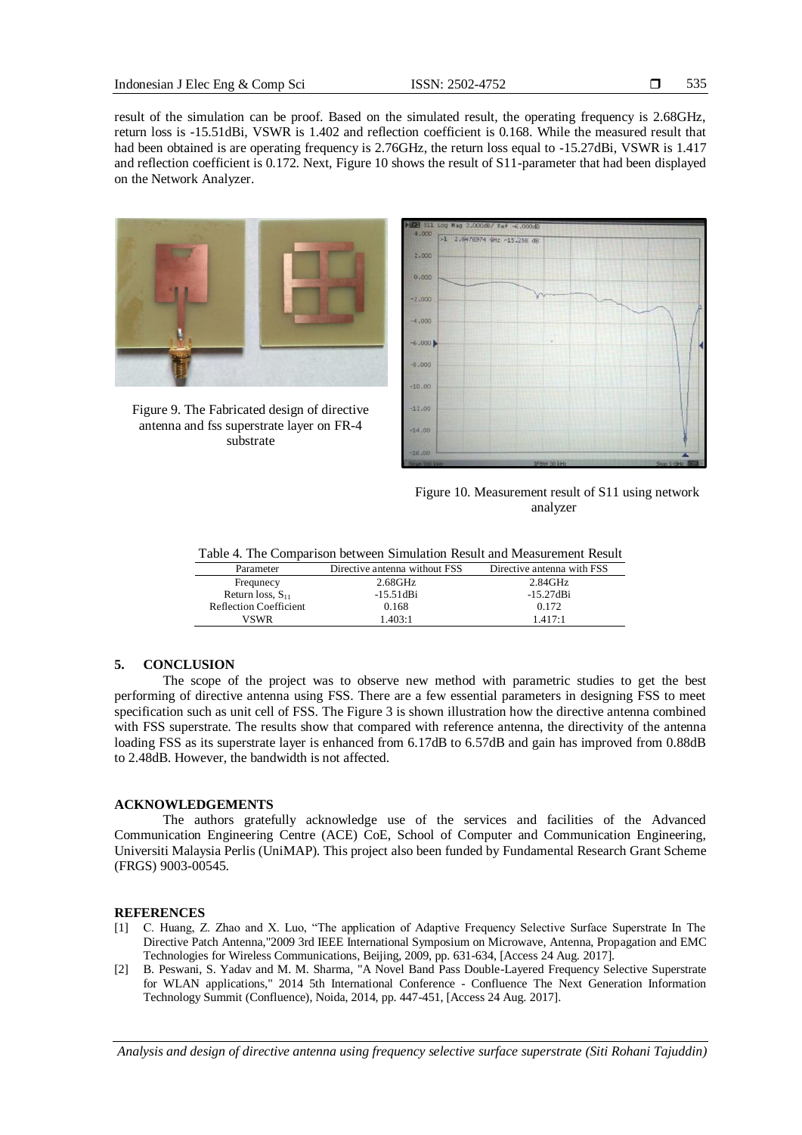535

result of the simulation can be proof. Based on the simulated result, the operating frequency is 2.68GHz, return loss is -15.51dBi, VSWR is 1.402 and reflection coefficient is 0.168. While the measured result that had been obtained is are operating frequency is 2.76GHz, the return loss equal to -15.27dBi, VSWR is 1.417 and reflection coefficient is 0.172. Next, Figure 10 shows the result of S11-parameter that had been displayed on the Network Analyzer.



Figure 9. The Fabricated design of directive antenna and fss superstrate layer on FR-4 substrate



Figure 10. Measurement result of S11 using network analyzer

| Table 4. The Comparison between Simulation Result and Measurement Result |  |  |  |  |  |  |  |  |  |
|--------------------------------------------------------------------------|--|--|--|--|--|--|--|--|--|
|--------------------------------------------------------------------------|--|--|--|--|--|--|--|--|--|

| Parameter                     | Directive antenna without FSS | Directive antenna with FSS |
|-------------------------------|-------------------------------|----------------------------|
| Frequeecy                     | 2.68GHz                       | 2.84GHz                    |
| Return loss, $S_{11}$         | $-15.51dB$ i                  | $-15.27$ dBi               |
| <b>Reflection Coefficient</b> | 0.168                         | 0.172                      |
| <b>VSWR</b>                   | 1.403:1                       | 1417.1                     |

## **5. CONCLUSION**

The scope of the project was to observe new method with parametric studies to get the best performing of directive antenna using FSS. There are a few essential parameters in designing FSS to meet specification such as unit cell of FSS. The Figure 3 is shown illustration how the directive antenna combined with FSS superstrate. The results show that compared with reference antenna, the directivity of the antenna loading FSS as its superstrate layer is enhanced from 6.17dB to 6.57dB and gain has improved from 0.88dB to 2.48dB. However, the bandwidth is not affected.

## **ACKNOWLEDGEMENTS**

The authors gratefully acknowledge use of the services and facilities of the Advanced Communication Engineering Centre (ACE) CoE, School of Computer and Communication Engineering, Universiti Malaysia Perlis (UniMAP). This project also been funded by Fundamental Research Grant Scheme (FRGS) 9003-00545.

#### **REFERENCES**

- [1] C. Huang, Z. Zhao and X. Luo, "The application of Adaptive Frequency Selective Surface Superstrate In The Directive Patch Antenna,"2009 3rd IEEE International Symposium on Microwave, Antenna, Propagation and EMC Technologies for Wireless Communications, Beijing, 2009, pp. 631-634, [Access 24 Aug. 2017].
- [2] B. Peswani, S. Yadav and M. M. Sharma, "A Novel Band Pass Double-Layered Frequency Selective Superstrate for WLAN applications," 2014 5th International Conference - Confluence The Next Generation Information Technology Summit (Confluence), Noida, 2014, pp. 447-451, [Access 24 Aug. 2017].

*Analysis and design of directive antenna using frequency selective surface superstrate (Siti Rohani Tajuddin)*